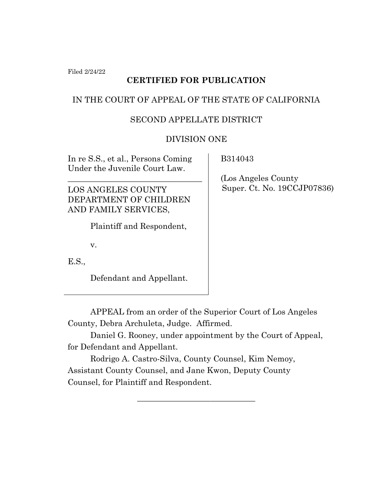Filed 2/24/22

# **CERTIFIED FOR PUBLICATION**

## IN THE COURT OF APPEAL OF THE STATE OF CALIFORNIA

### SECOND APPELLATE DISTRICT

### DIVISION ONE

In re S.S., et al., Persons Coming Under the Juvenile Court Law.

\_\_\_\_\_\_\_\_\_\_\_\_\_\_\_\_\_\_\_\_\_\_\_\_\_\_\_\_\_\_\_\_\_

LOS ANGELES COUNTY DEPARTMENT OF CHILDREN AND FAMILY SERVICES,

Plaintiff and Respondent,

v.

E.S.,

Defendant and Appellant.

B314043

 (Los Angeles County Super. Ct. No. 19CCJP07836)

APPEAL from an order of the Superior Court of Los Angeles County, Debra Archuleta, Judge. Affirmed.

Daniel G. Rooney, under appointment by the Court of Appeal, for Defendant and Appellant.

\_\_\_\_\_\_\_\_\_\_\_\_\_\_\_\_\_\_\_\_\_\_\_\_\_\_\_\_\_

Rodrigo A. Castro-Silva, County Counsel, Kim Nemoy, Assistant County Counsel, and Jane Kwon, Deputy County Counsel, for Plaintiff and Respondent.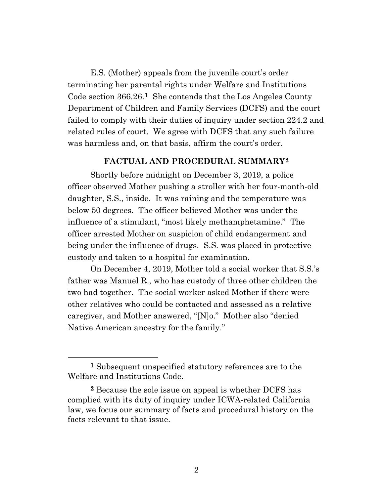E.S. (Mother) appeals from the juvenile court's order terminating her parental rights under Welfare and Institutions Code section 366.26.<sup>1</sup> She contends that the Los Angeles County Department of Children and Family Services (DCFS) and the court failed to comply with their duties of inquiry under section 224.2 and related rules of court. We agree with DCFS that any such failure was harmless and, on that basis, affirm the court's order.

#### **FACTUAL AND PROCEDURAL SUMMARY2**

Shortly before midnight on December 3, 2019, a police officer observed Mother pushing a stroller with her four-month-old daughter, S.S., inside. It was raining and the temperature was below 50 degrees. The officer believed Mother was under the influence of a stimulant, "most likely methamphetamine." The officer arrested Mother on suspicion of child endangerment and being under the influence of drugs. S.S. was placed in protective custody and taken to a hospital for examination.

On December 4, 2019, Mother told a social worker that S.S.'s father was Manuel R., who has custody of three other children the two had together. The social worker asked Mother if there were other relatives who could be contacted and assessed as a relative caregiver, and Mother answered, "[N]o." Mother also "denied Native American ancestry for the family."

**<sup>1</sup>** Subsequent unspecified statutory references are to the Welfare and Institutions Code.

**<sup>2</sup>** Because the sole issue on appeal is whether DCFS has complied with its duty of inquiry under ICWA-related California law, we focus our summary of facts and procedural history on the facts relevant to that issue.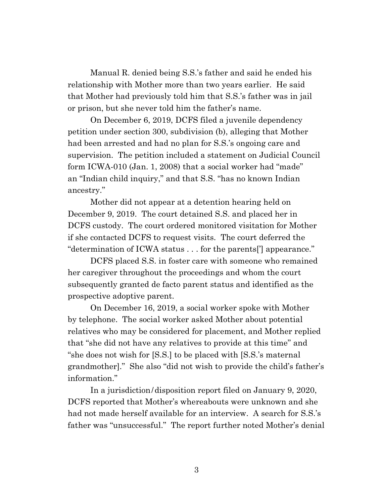Manual R. denied being S.S.'s father and said he ended his relationship with Mother more than two years earlier. He said that Mother had previously told him that S.S.'s father was in jail or prison, but she never told him the father's name.

On December 6, 2019, DCFS filed a juvenile dependency petition under section 300, subdivision (b), alleging that Mother had been arrested and had no plan for S.S.'s ongoing care and supervision. The petition included a statement on Judicial Council form ICWA-010 (Jan. 1, 2008) that a social worker had "made" an "Indian child inquiry," and that S.S. "has no known Indian ancestry."

Mother did not appear at a detention hearing held on December 9, 2019. The court detained S.S. and placed her in DCFS custody. The court ordered monitored visitation for Mother if she contacted DCFS to request visits. The court deferred the "determination of ICWA status . . . for the parents['] appearance."

DCFS placed S.S. in foster care with someone who remained her caregiver throughout the proceedings and whom the court subsequently granted de facto parent status and identified as the prospective adoptive parent.

On December 16, 2019, a social worker spoke with Mother by telephone. The social worker asked Mother about potential relatives who may be considered for placement, and Mother replied that "she did not have any relatives to provide at this time" and "she does not wish for [S.S.] to be placed with [S.S.'s maternal grandmother]." She also "did not wish to provide the child's father's information."

In a jurisdiction/disposition report filed on January 9, 2020, DCFS reported that Mother's whereabouts were unknown and she had not made herself available for an interview. A search for S.S.'s father was "unsuccessful." The report further noted Mother's denial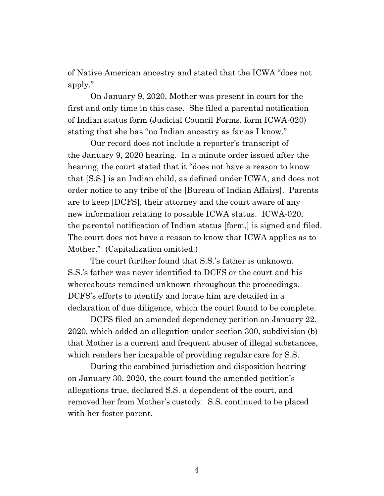of Native American ancestry and stated that the ICWA "does not apply."

On January 9, 2020, Mother was present in court for the first and only time in this case. She filed a parental notification of Indian status form (Judicial Council Forms, form ICWA-020) stating that she has "no Indian ancestry as far as I know."

Our record does not include a reporter's transcript of the January 9, 2020 hearing. In a minute order issued after the hearing, the court stated that it "does not have a reason to know that [S.S.] is an Indian child, as defined under ICWA, and does not order notice to any tribe of the [Bureau of Indian Affairs]. Parents are to keep [DCFS], their attorney and the court aware of any new information relating to possible ICWA status. ICWA-020, the parental notification of Indian status [form,] is signed and filed. The court does not have a reason to know that ICWA applies as to Mother." (Capitalization omitted.)

The court further found that S.S.'s father is unknown. S.S.'s father was never identified to DCFS or the court and his whereabouts remained unknown throughout the proceedings. DCFS's efforts to identify and locate him are detailed in a declaration of due diligence, which the court found to be complete.

DCFS filed an amended dependency petition on January 22, 2020, which added an allegation under section 300, subdivision (b) that Mother is a current and frequent abuser of illegal substances, which renders her incapable of providing regular care for S.S.

During the combined jurisdiction and disposition hearing on January 30, 2020, the court found the amended petition's allegations true, declared S.S. a dependent of the court, and removed her from Mother's custody. S.S. continued to be placed with her foster parent.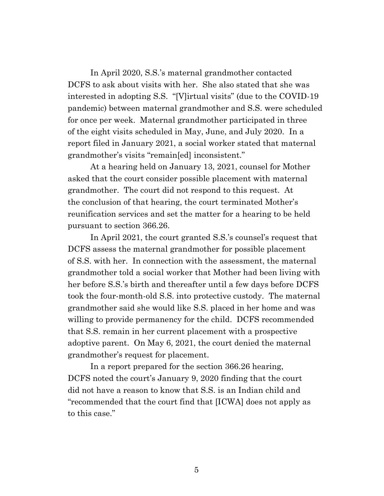In April 2020, S.S.'s maternal grandmother contacted DCFS to ask about visits with her. She also stated that she was interested in adopting S.S. "[V]irtual visits" (due to the COVID-19 pandemic) between maternal grandmother and S.S. were scheduled for once per week. Maternal grandmother participated in three of the eight visits scheduled in May, June, and July 2020. In a report filed in January 2021, a social worker stated that maternal grandmother's visits "remain[ed] inconsistent."

At a hearing held on January 13, 2021, counsel for Mother asked that the court consider possible placement with maternal grandmother. The court did not respond to this request. At the conclusion of that hearing, the court terminated Mother's reunification services and set the matter for a hearing to be held pursuant to section 366.26.

In April 2021, the court granted S.S.'s counsel's request that DCFS assess the maternal grandmother for possible placement of S.S. with her. In connection with the assessment, the maternal grandmother told a social worker that Mother had been living with her before S.S.'s birth and thereafter until a few days before DCFS took the four-month-old S.S. into protective custody. The maternal grandmother said she would like S.S. placed in her home and was willing to provide permanency for the child. DCFS recommended that S.S. remain in her current placement with a prospective adoptive parent. On May 6, 2021, the court denied the maternal grandmother's request for placement.

In a report prepared for the section 366.26 hearing, DCFS noted the court's January 9, 2020 finding that the court did not have a reason to know that S.S. is an Indian child and "recommended that the court find that [ICWA] does not apply as to this case."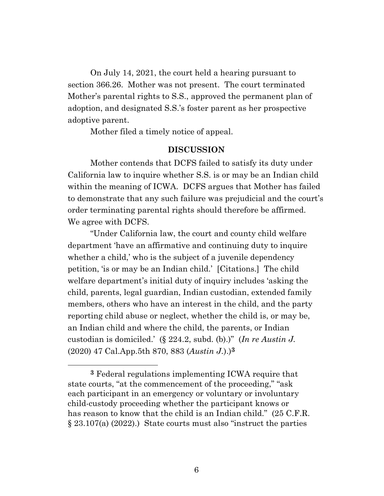On July 14, 2021, the court held a hearing pursuant to section 366.26. Mother was not present. The court terminated Mother's parental rights to S.S., approved the permanent plan of adoption, and designated S.S.'s foster parent as her prospective adoptive parent.

Mother filed a timely notice of appeal.

#### **DISCUSSION**

Mother contends that DCFS failed to satisfy its duty under California law to inquire whether S.S. is or may be an Indian child within the meaning of ICWA. DCFS argues that Mother has failed to demonstrate that any such failure was prejudicial and the court's order terminating parental rights should therefore be affirmed. We agree with DCFS.

"Under California law, the court and county child welfare department 'have an affirmative and continuing duty to inquire whether a child,' who is the subject of a juvenile dependency petition, 'is or may be an Indian child.' [Citations.] The child welfare department's initial duty of inquiry includes 'asking the child, parents, legal guardian, Indian custodian, extended family members, others who have an interest in the child, and the party reporting child abuse or neglect, whether the child is, or may be, an Indian child and where the child, the parents, or Indian custodian is domiciled.' (§ 224.2, subd. (b).)" (*In re Austin J.* (2020) 47 Cal.App.5th 870, 883 (*Austin J.*).)**3**

**<sup>3</sup>** Federal regulations implementing ICWA require that state courts, "at the commencement of the proceeding," "ask each participant in an emergency or voluntary or involuntary child-custody proceeding whether the participant knows or has reason to know that the child is an Indian child." (25 C.F.R. § 23.107(a) (2022).) State courts must also "instruct the parties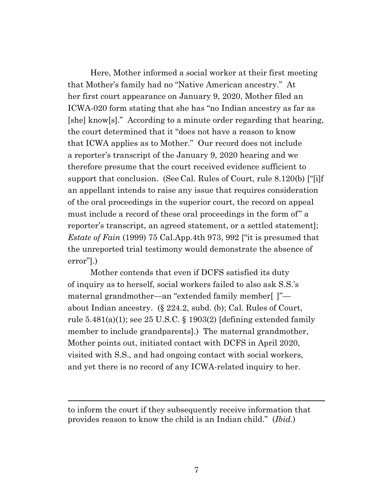Here, Mother informed a social worker at their first meeting that Mother's family had no "Native American ancestry." At her first court appearance on January 9, 2020, Mother filed an ICWA-020 form stating that she has "no Indian ancestry as far as [she] know[s]." According to a minute order regarding that hearing, the court determined that it "does not have a reason to know that ICWA applies as to Mother." Our record does not include a reporter's transcript of the January 9, 2020 hearing and we therefore presume that the court received evidence sufficient to support that conclusion. (See Cal. Rules of Court, rule 8.120(b) ["[i]f an appellant intends to raise any issue that requires consideration of the oral proceedings in the superior court, the record on appeal must include a record of these oral proceedings in the form of" a reporter's transcript, an agreed statement, or a settled statement]; *Estate of Fain* (1999) 75 Cal.App.4th 973, 992 ["it is presumed that the unreported trial testimony would demonstrate the absence of error"].)

Mother contends that even if DCFS satisfied its duty of inquiry as to herself, social workers failed to also ask S.S.'s maternal grandmother—an "extended family member[ ]" about Indian ancestry. (§ 224.2, subd. (b); Cal. Rules of Court, rule  $5.481(a)(1)$ ; see  $25 \text{ U.S.C.}$  § 1903(2) [defining extended family member to include grandparents].) The maternal grandmother, Mother points out, initiated contact with DCFS in April 2020, visited with S.S., and had ongoing contact with social workers, and yet there is no record of any ICWA-related inquiry to her.

to inform the court if they subsequently receive information that provides reason to know the child is an Indian child." (*Ibid.*)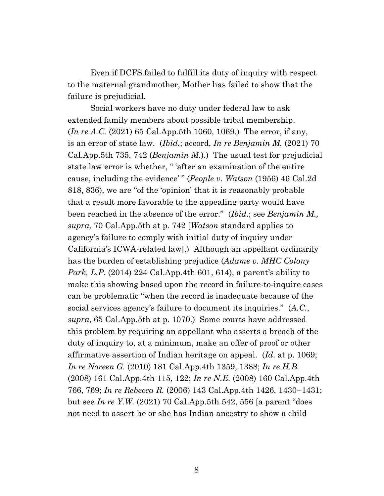Even if DCFS failed to fulfill its duty of inquiry with respect to the maternal grandmother, Mother has failed to show that the failure is prejudicial.

Social workers have no duty under federal law to ask extended family members about possible tribal membership. (*In re A.C.* (2021) 65 Cal.App.5th 1060, 1069.) The error, if any, is an error of state law. (*Ibid.*; accord, *In re Benjamin M.* (2021) 70 Cal.App.5th 735, 742 (*Benjamin M.*).) The usual test for prejudicial state law error is whether, " 'after an examination of the entire cause, including the evidence' " (*People v. Watson* (1956) 46 Cal.2d 818, 836), we are "of the 'opinion' that it is reasonably probable that a result more favorable to the appealing party would have been reached in the absence of the error." (*Ibid*.; see *Benjamin M., supra,* 70 Cal.App.5th at p. 742 [*Watson* standard applies to agency's failure to comply with initial duty of inquiry under California's ICWA-related law].) Although an appellant ordinarily has the burden of establishing prejudice (*Adams v. MHC Colony Park, L.P.* (2014) 224 Cal.App.4th 601, 614), a parent's ability to make this showing based upon the record in failure-to-inquire cases can be problematic "when the record is inadequate because of the social services agency's failure to document its inquiries." (*A.C.*, *supra*, 65 Cal.App.5th at p. 1070.) Some courts have addressed this problem by requiring an appellant who asserts a breach of the duty of inquiry to, at a minimum, make an offer of proof or other affirmative assertion of Indian heritage on appeal. (*Id*. at p. 1069; *In re Noreen G.* (2010) 181 Cal.App.4th 1359, 1388; *In re H.B.* (2008) 161 Cal.App.4th 115, 122; *In re N.E.* (2008) 160 Cal.App.4th 766, 769; *In re Rebecca R.* (2006) 143 Cal.App.4th 1426, 1430−1431; but see *In re Y.W.* (2021) 70 Cal.App.5th 542, 556 [a parent "does not need to assert he or she has Indian ancestry to show a child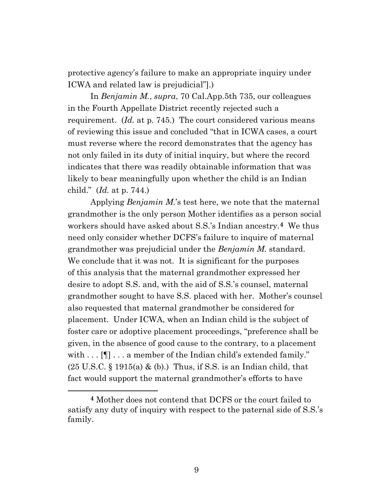protective agency's failure to make an appropriate inquiry under ICWA and related law is prejudicial"].)

In *Benjamin M.*, *supra*, 70 Cal.App.5th 735, our colleagues in the Fourth Appellate District recently rejected such a requirement. (*Id.* at p. 745.) The court considered various means of reviewing this issue and concluded "that in ICWA cases, a court must reverse where the record demonstrates that the agency has not only failed in its duty of initial inquiry, but where the record indicates that there was readily obtainable information that was likely to bear meaningfully upon whether the child is an Indian child." (*Id.* at p. 744.)

Applying *Benjamin M.*'s test here, we note that the maternal grandmother is the only person Mother identifies as a person social workers should have asked about S.S.'s Indian ancestry.**4** We thus need only consider whether DCFS's failure to inquire of maternal grandmother was prejudicial under the *Benjamin M.* standard. We conclude that it was not. It is significant for the purposes of this analysis that the maternal grandmother expressed her desire to adopt S.S. and, with the aid of S.S.'s counsel, maternal grandmother sought to have S.S. placed with her. Mother's counsel also requested that maternal grandmother be considered for placement. Under ICWA, when an Indian child is the subject of foster care or adoptive placement proceedings, "preference shall be given, in the absence of good cause to the contrary, to a placement with . . . [¶] . . . a member of the Indian child's extended family."  $(25 \text{ U.S.C.} \S 1915(a) \& (b))$ . Thus, if S.S. is an Indian child, that fact would support the maternal grandmother's efforts to have

**<sup>4</sup>** Mother does not contend that DCFS or the court failed to satisfy any duty of inquiry with respect to the paternal side of S.S.'s family.